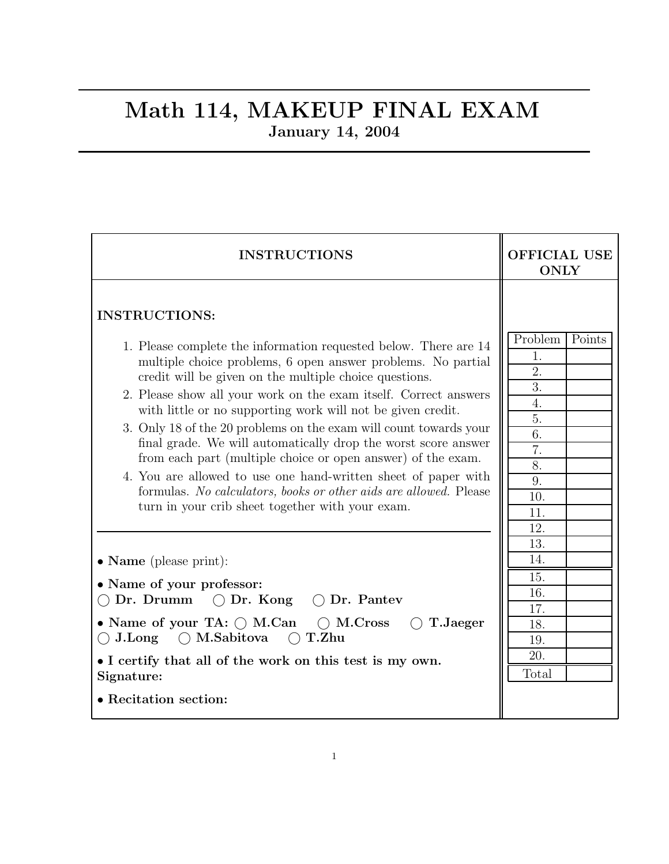### Math 114, MAKEUP FINAL EXAM January 14, 2004

| <b>INSTRUCTIONS</b>                                                                                                                                                                                                                                                                                                                                                                                                                                                                                                                                                                                                                                                                                                                                     | <b>OFFICIAL USE</b><br><b>ONLY</b>                                                           |  |
|---------------------------------------------------------------------------------------------------------------------------------------------------------------------------------------------------------------------------------------------------------------------------------------------------------------------------------------------------------------------------------------------------------------------------------------------------------------------------------------------------------------------------------------------------------------------------------------------------------------------------------------------------------------------------------------------------------------------------------------------------------|----------------------------------------------------------------------------------------------|--|
| <b>INSTRUCTIONS:</b><br>1. Please complete the information requested below. There are 14<br>multiple choice problems, 6 open answer problems. No partial<br>credit will be given on the multiple choice questions.<br>2. Please show all your work on the exam itself. Correct answers<br>with little or no supporting work will not be given credit.<br>3. Only 18 of the 20 problems on the exam will count towards your<br>final grade. We will automatically drop the worst score answer<br>from each part (multiple choice or open answer) of the exam.<br>4. You are allowed to use one hand-written sheet of paper with<br>formulas. No calculators, books or other aids are allowed. Please<br>turn in your crib sheet together with your exam. | Problem<br>Points<br>1.<br>2.<br>3.<br>4.<br>5.<br>6.<br>7.<br>8.<br>9.<br>10.<br>11.<br>12. |  |
| • Name (please print):<br>• Name of your professor:<br>Dr. Drumm $\bigcirc$ Dr. Kong $\bigcirc$ Dr. Pantev<br>• Name of your TA: $\bigcirc$ M.Can $\bigcirc$ M.Cross<br>T.Jaeger<br>$\bigcirc$ T.Zhu<br>$\bigcirc$ J.Long<br>$\bigcirc$ M.Sabitova<br>• I certify that all of the work on this test is my own.<br>Signature:<br>• Recitation section:                                                                                                                                                                                                                                                                                                                                                                                                   | 13.<br>14.<br>15.<br>16.<br>17.<br>18.<br>19.<br>20.<br>Total                                |  |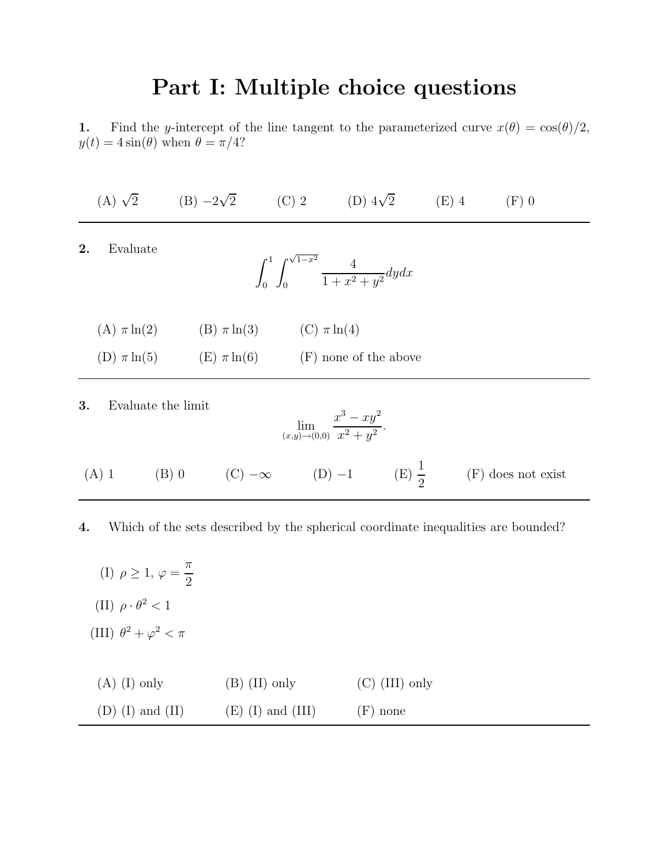# Part I: Multiple choice questions

1. Find the y-intercept of the line tangent to the parameterized curve  $x(\theta) = \cos(\theta)/2$ ,  $y(t) = 4 \sin(\theta)$  when  $\theta = \pi/4$ ?

(A)  $\sqrt{2}$  $\overline{2}$  (B)  $-2\sqrt{ }$ (C) 2 (D)  $4\sqrt{2}$  $(E)$  4  $(F)$  0

2. Evaluate

$$
\int_0^1 \int_0^{\sqrt{1-x^2}} \frac{4}{1+x^2+y^2} dy dx
$$

| $(A)$ $\pi$ ln(2) | $(B)$ $\pi$ ln(3)  | $(C)$ $\pi \ln(4)$      |
|-------------------|--------------------|-------------------------|
| $(D)$ $\pi$ ln(5) | $(E)$ $\pi \ln(6)$ | $(F)$ none of the above |

3. Evaluate the limit

$$
\lim_{(x,y)\to(0,0)} \frac{x^3 - xy^2}{x^2 + y^2}.
$$
\n(A) 1 \t(B) 0 \t(C)  $-\infty$  \t(D)  $-1$  \t(E)  $\frac{1}{2}$  \t(F) does not exist

4. Which of the sets described by the spherical coordinate inequalities are bounded?

(I)  $\rho \geq 1, \varphi =$  $\pi$ 2 (II)  $\rho \cdot \theta^2 < 1$ (III)  $\theta^2 + \varphi^2 < \pi$ 

| $(A)$ (I) only     | $(B)$ (II) only     | $(C)$ (III) only |
|--------------------|---------------------|------------------|
| $(D)$ (I) and (II) | $(E)$ (I) and (III) | $(F)$ none       |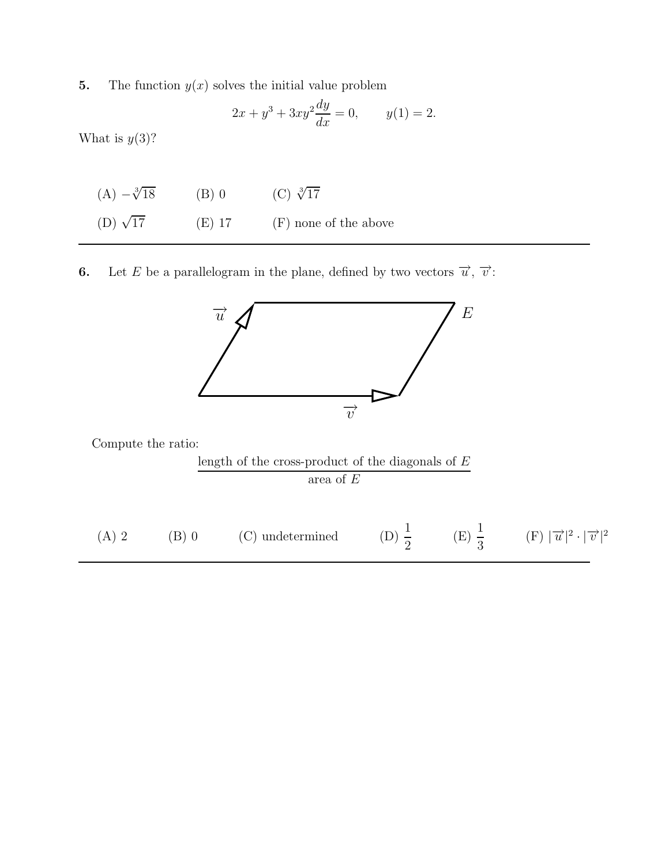5. The function  $y(x)$  solves the initial value problem

$$
2x + y^3 + 3xy^2 \frac{dy}{dx} = 0, \qquad y(1) = 2.
$$

What is  $y(3)$ ?

| $(A) - \sqrt[3]{18}$ | $(B)$ 0  | (C) $\sqrt[3]{17}$    |
|----------------------|----------|-----------------------|
| (D) $\sqrt{17}$      | $(E)$ 17 | (F) none of the above |

**6.** Let E be a parallelogram in the plane, defined by two vectors  $\vec{u}$ ,  $\vec{v}$ :

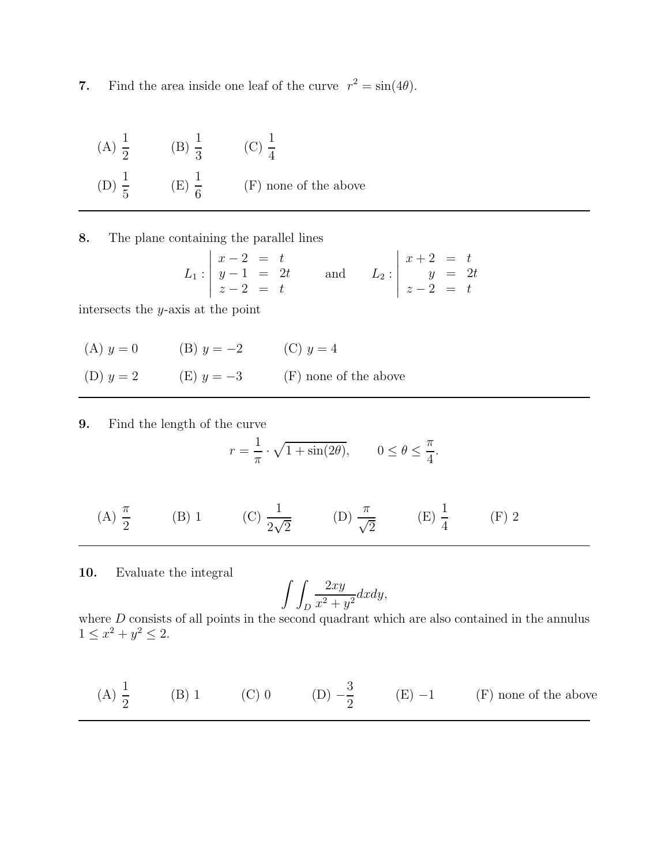7. Find the area inside one leaf of the curve  $r^2 = \sin(4\theta)$ .

(A) 
$$
\frac{1}{2}
$$
 (B)  $\frac{1}{3}$  (C)  $\frac{1}{4}$   
(D)  $\frac{1}{5}$  (E)  $\frac{1}{6}$  (F) none of the above

8. The plane containing the parallel lines

$$
L_1: \begin{vmatrix} x-2 &= t \\ y-1 &= 2t \\ z-2 &= t \end{vmatrix} \text{ and } L_2: \begin{vmatrix} x+2 &= t \\ y &= 2t \\ z-2 &= t \end{vmatrix}
$$

intersects the y-axis at the point

(A)  $y = 0$  (B)  $y = -2$  (C)  $y = 4$ (D)  $y = 2$  (E)  $y = -3$  (F) none of the above

9. Find the length of the curve

$$
r = \frac{1}{\pi} \cdot \sqrt{1 + \sin(2\theta)}, \qquad 0 \le \theta \le \frac{\pi}{4}.
$$

(A) 
$$
\frac{\pi}{2}
$$
 \t(B) 1 \t(C)  $\frac{1}{2\sqrt{2}}$  \t(D)  $\frac{\pi}{\sqrt{2}}$  \t(E)  $\frac{1}{4}$  \t(F) 2

10. Evaluate the integral

$$
\int\int_D \frac{2xy}{x^2 + y^2}dxdy,
$$

where  $D$  consists of all points in the second quadrant which are also contained in the annulus  $1 \leq x^2 + y^2 \leq 2.$ 

(A) 
$$
\frac{1}{2}
$$
 (B) 1 (C) 0 (D)  $-\frac{3}{2}$  (E) -1 (F) none of the above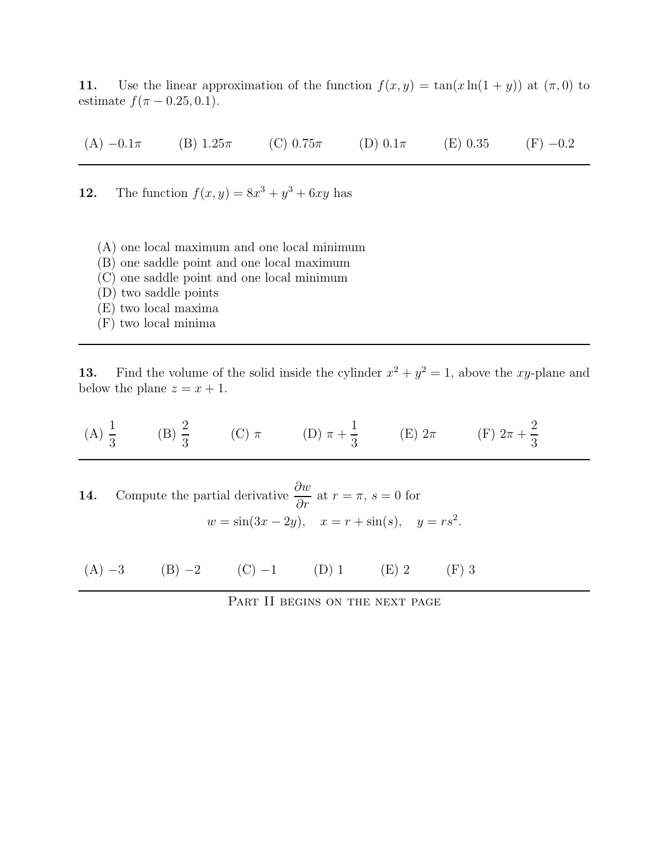11. Use the linear approximation of the function  $f(x, y) = \tan(x \ln(1 + y))$  at  $(\pi, 0)$  to estimate  $f(\pi - 0.25, 0.1)$ .

(A)  $-0.1\pi$  (B)  $1.25\pi$  (C)  $0.75\pi$  (D)  $0.1\pi$  (E)  $0.35$  (F)  $-0.2$ 

**12.** The function  $f(x, y) = 8x^3 + y^3 + 6xy$  has

- (A) one local maximum and one local minimum
- (B) one saddle point and one local maximum
- (C) one saddle point and one local minimum
- (D) two saddle points
- (E) two local maxima
- (F) two local minima

13. Find the volume of the solid inside the cylinder  $x^2 + y^2 = 1$ , above the xy-plane and below the plane  $z = x + 1$ .

(A) 
$$
\frac{1}{3}
$$
 \t(B)  $\frac{2}{3}$  \t(C)  $\pi$  \t(D)  $\pi + \frac{1}{3}$  \t(E)  $2\pi$  \t(F)  $2\pi + \frac{2}{3}$ 

**14.** Compute the partial derivative  $\frac{\partial w}{\partial x}$  $rac{\partial}{\partial r}$  at  $r = \pi$ ,  $s = 0$  for  $w = \sin(3x - 2y), \quad x = r + \sin(s), \quad y = rs^2.$ 

(A) −3 (B) −2 (C) −1 (D) 1 (E) 2 (F) 3

PART II BEGINS ON THE NEXT PAGE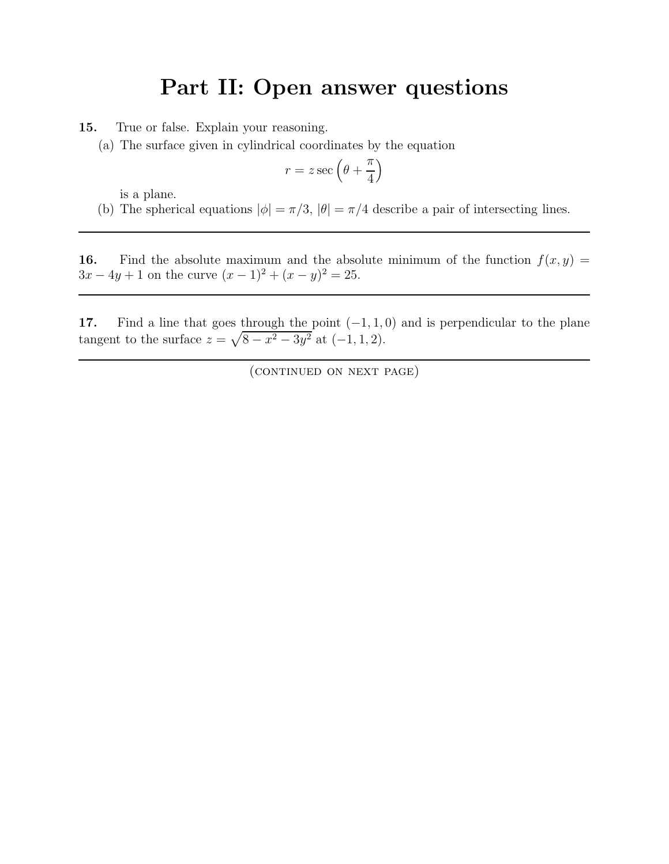## Part II: Open answer questions

15. True or false. Explain your reasoning.

(a) The surface given in cylindrical coordinates by the equation

$$
r = z \sec \left(\theta + \frac{\pi}{4}\right)
$$

is a plane.

(b) The spherical equations  $|\phi| = \pi/3$ ,  $|\theta| = \pi/4$  describe a pair of intersecting lines.

16. Find the absolute maximum and the absolute minimum of the function  $f(x, y) =$  $3x - 4y + 1$  on the curve  $(x - 1)^2 + (x - y)^2 = 25$ .

17. Find a line that goes through the point  $(-1, 1, 0)$  and is perpendicular to the plane tangent to the surface  $z = \sqrt{8 - x^2 - 3y^2}$  at  $(-1, 1, 2)$ .

(continued on next page)